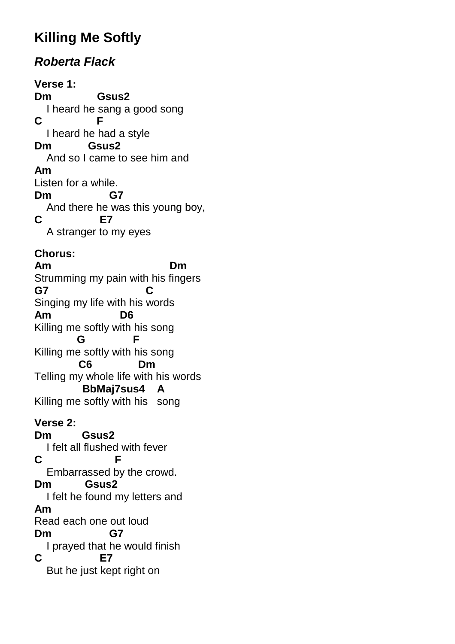# **Killing Me Softly**

## **Roberta Flack**

**Verse 1: Dm Gsus2**  I heard he sang a good song **C F**  I heard he had a style **Dm Gsus2**  And so I came to see him and **Am**  Listen for a while. **Dm G7**  And there he was this young boy, **C E7**  A stranger to my eyes **Chorus: Am Dm**  Strumming my pain with his fingers **G7 C**  Singing my life with his words **Am D6**  Killing me softly with his song  **G F**  Killing me softly with his song  **C6 Dm**  Telling my whole life with his words  **BbMaj7sus4 A**  Killing me softly with his song **Verse 2: Dm Gsus2**  I felt all flushed with fever **C F**  Embarrassed by the crowd. **Dm Gsus2**  I felt he found my letters and **Am**  Read each one out loud **Dm G7**  I prayed that he would finish **C E7**  But he just kept right on